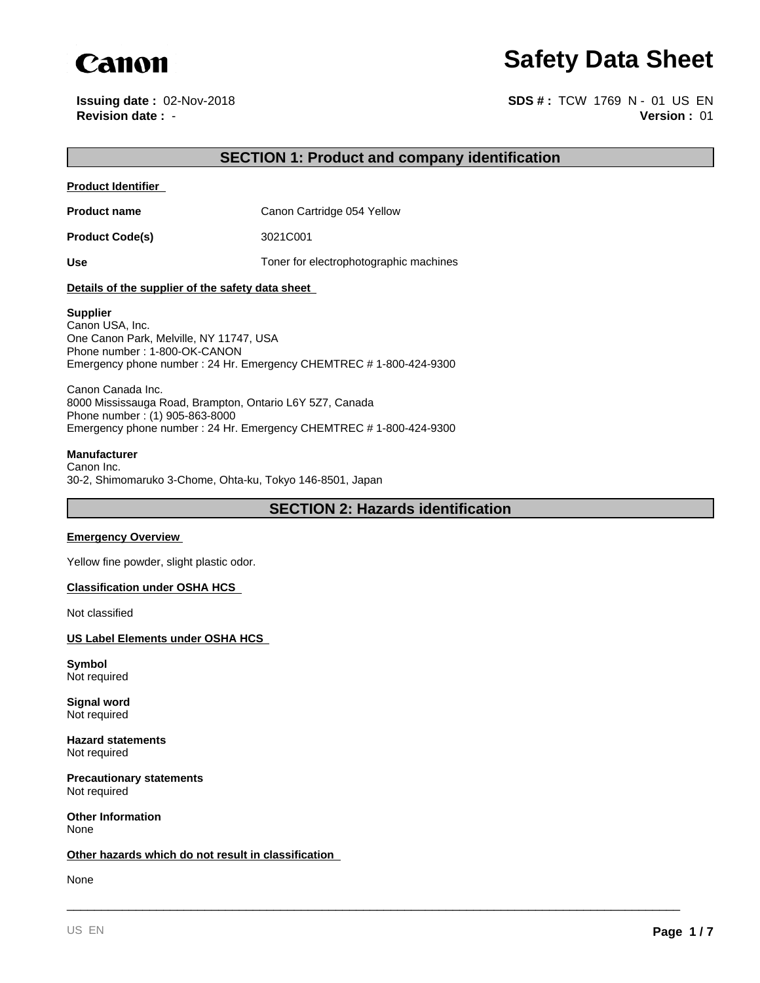

**Issuing date :** 02-Nov-2018

**Canon**<br> **Safety Data Sheet**<br> **Issuing date : 02-Nov-2018**<br> **Revision date : -**<br> **Revision date : -**<br> **Paramonic SDS**# : TCW 1769 N - 01 US EN **Version :** 01 **SDS # :** TCW 1769 N - 01 US EN

# **SECTION 1: Product and company identification**

**Product Identifier** 

**Product name** Canon Cartridge 054 Yellow

**Product Code(s)** 3021C001

Use Use **Use** Toner for electrophotographic machines

#### **Details of the supplier of the safety data sheet**

#### **Supplier**

Canon USA, Inc. One Canon Park, Melville, NY 11747, USA Phone number : 1-800-OK-CANON Emergency phone number : 24 Hr. Emergency CHEMTREC # 1-800-424-9300

Canon Canada Inc. 8000 Mississauga Road, Brampton, Ontario L6Y 5Z7, Canada Phone number : (1) 905-863-8000 Emergency phone number : 24 Hr. Emergency CHEMTREC # 1-800-424-9300

#### **Manufacturer**

Canon Inc. 30-2, Shimomaruko 3-Chome, Ohta-ku, Tokyo 146-8501, Japan

**SECTION 2: Hazards identification**

\_\_\_\_\_\_\_\_\_\_\_\_\_\_\_\_\_\_\_\_\_\_\_\_\_\_\_\_\_\_\_\_\_\_\_\_\_\_\_\_\_\_\_\_\_\_\_\_\_\_\_\_\_\_\_\_\_\_\_\_\_\_\_\_\_\_\_\_\_\_\_\_\_\_\_\_\_\_\_\_\_\_\_\_\_\_\_\_\_

#### **Emergency Overview**

Yellow fine powder, slight plastic odor.

#### **Classification under OSHA HCS**

Not classified

#### **US Label Elements under OSHA HCS**

**Symbol** Not required

**Signal word** Not required

**Hazard statements** Not required

**Precautionary statements** Not required

**Other Information** None

#### **Other hazards which do not result in classification**

None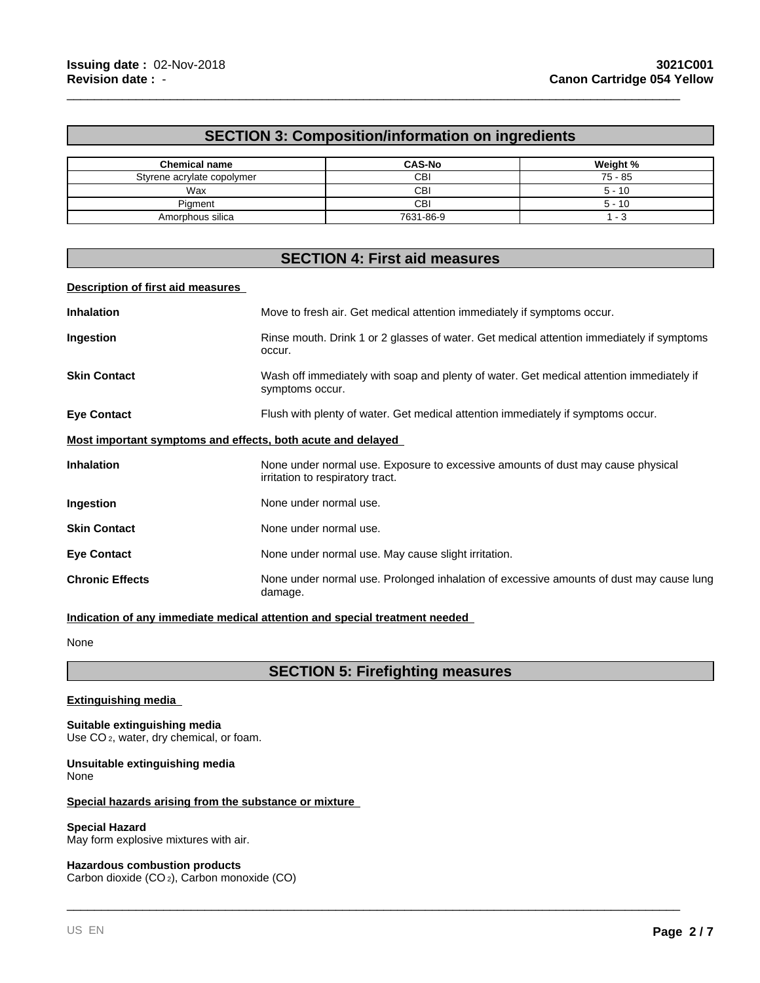# **SECTION 3: Composition/information on ingredients**

\_\_\_\_\_\_\_\_\_\_\_\_\_\_\_\_\_\_\_\_\_\_\_\_\_\_\_\_\_\_\_\_\_\_\_\_\_\_\_\_\_\_\_\_\_\_\_\_\_\_\_\_\_\_\_\_\_\_\_\_\_\_\_\_\_\_\_\_\_\_\_\_\_\_\_\_\_\_\_\_\_\_\_\_\_\_\_\_\_

| <b>Chemical name</b>       | <b>CAS-No</b> | Weight %  |
|----------------------------|---------------|-----------|
| Styrene acrylate copolymer | CBI           | $75 - 85$ |
| Wax                        | CBI           | $5 - 10$  |
| Piament                    | CВI           | $5 - 10$  |
| Amorphous silica           | 7631-86-9     |           |

# **SECTION 4: First aid measures**

#### **Description of first aid measures**

| <b>Inhalation</b>                                           | Move to fresh air. Get medical attention immediately if symptoms occur.                                             |
|-------------------------------------------------------------|---------------------------------------------------------------------------------------------------------------------|
| Ingestion                                                   | Rinse mouth. Drink 1 or 2 glasses of water. Get medical attention immediately if symptoms<br>occur.                 |
| <b>Skin Contact</b>                                         | Wash off immediately with soap and plenty of water. Get medical attention immediately if<br>symptoms occur.         |
| <b>Eye Contact</b>                                          | Flush with plenty of water. Get medical attention immediately if symptoms occur.                                    |
| Most important symptoms and effects, both acute and delayed |                                                                                                                     |
| <b>Inhalation</b>                                           | None under normal use. Exposure to excessive amounts of dust may cause physical<br>irritation to respiratory tract. |
| Ingestion                                                   | None under normal use.                                                                                              |
| <b>Skin Contact</b>                                         | None under normal use.                                                                                              |
| <b>Eye Contact</b>                                          | None under normal use. May cause slight irritation.                                                                 |
| <b>Chronic Effects</b>                                      | None under normal use. Prolonged inhalation of excessive amounts of dust may cause lung<br>damage.                  |

#### **Indication of any immediate medical attention and special treatment needed**

None

# **SECTION 5: Firefighting measures**

\_\_\_\_\_\_\_\_\_\_\_\_\_\_\_\_\_\_\_\_\_\_\_\_\_\_\_\_\_\_\_\_\_\_\_\_\_\_\_\_\_\_\_\_\_\_\_\_\_\_\_\_\_\_\_\_\_\_\_\_\_\_\_\_\_\_\_\_\_\_\_\_\_\_\_\_\_\_\_\_\_\_\_\_\_\_\_\_\_

#### **Extinguishing media**

**Suitable extinguishing media** Use CO<sub>2</sub>, water, dry chemical, or foam.

#### **Unsuitable extinguishing media** None

#### **Special hazards arising from the substance or mixture**

#### **Special Hazard**

May form explosive mixtures with air.

#### **Hazardous combustion products**

Carbon dioxide (CO 2), Carbon monoxide (CO)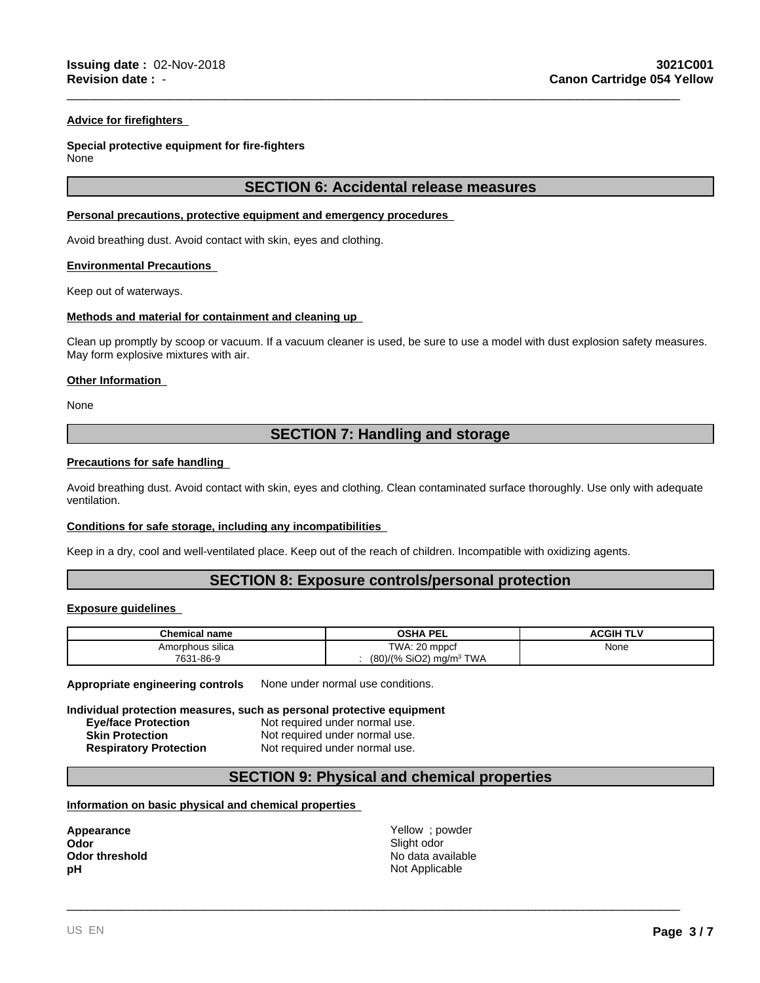#### **Advice for firefighters**

# **Special protective equipment for fire-fighters**

None

## **SECTION 6: Accidental release measures**

\_\_\_\_\_\_\_\_\_\_\_\_\_\_\_\_\_\_\_\_\_\_\_\_\_\_\_\_\_\_\_\_\_\_\_\_\_\_\_\_\_\_\_\_\_\_\_\_\_\_\_\_\_\_\_\_\_\_\_\_\_\_\_\_\_\_\_\_\_\_\_\_\_\_\_\_\_\_\_\_\_\_\_\_\_\_\_\_\_

#### **Personal precautions, protective equipment and emergency procedures**

Avoid breathing dust. Avoid contact with skin, eyes and clothing.

#### **Environmental Precautions**

Keep out of waterways.

#### **Methods and material for containment and cleaning up**

Clean up promptly by scoop or vacuum. If a vacuum cleaner is used, be sure to use a model with dust explosion safety measures. May form explosive mixtures with air.

#### **Other Information**

None

# **SECTION 7: Handling and storage**

#### **Precautions for safe handling**

Avoid breathing dust. Avoid contact with skin, eyes and clothing. Clean contaminated surface thoroughly. Use only with adequate ventilation.

#### **Conditions for safe storage, including any incompatibilities**

Keep in a dry, cool and well-ventilated place. Keep out of the reach of children. Incompatible with oxidizing agents.

# **SECTION 8: Exposure controls/personal protection**

#### **Exposure guidelines**

| <b>Chemical name</b> | <b>OSHA PEL</b>                      | <b>ACGIH TLV</b> |  |
|----------------------|--------------------------------------|------------------|--|
| Amorphous silica     | TWA: 20 mppcf                        | None             |  |
| 7631-86-9            | SiO <sub>2</sub> )<br>TWA<br>(80)/(% |                  |  |

**Appropriate engineering controls** None under normal use conditions.

#### **Individual protection measures, such as personal protective equipment**

| <b>Eye/face Protection</b>    | Not required under normal use. |
|-------------------------------|--------------------------------|
| <b>Skin Protection</b>        | Not required under normal use. |
| <b>Respiratory Protection</b> | Not required under normal use. |

#### **SECTION 9: Physical and chemical properties**

#### **Information on basic physical and chemical properties**

**Odor** Slight odor **pH** Not Applicable

Appearance **Appearance Yellow** ; powder **Odor threshold No data available No data available** 

\_\_\_\_\_\_\_\_\_\_\_\_\_\_\_\_\_\_\_\_\_\_\_\_\_\_\_\_\_\_\_\_\_\_\_\_\_\_\_\_\_\_\_\_\_\_\_\_\_\_\_\_\_\_\_\_\_\_\_\_\_\_\_\_\_\_\_\_\_\_\_\_\_\_\_\_\_\_\_\_\_\_\_\_\_\_\_\_\_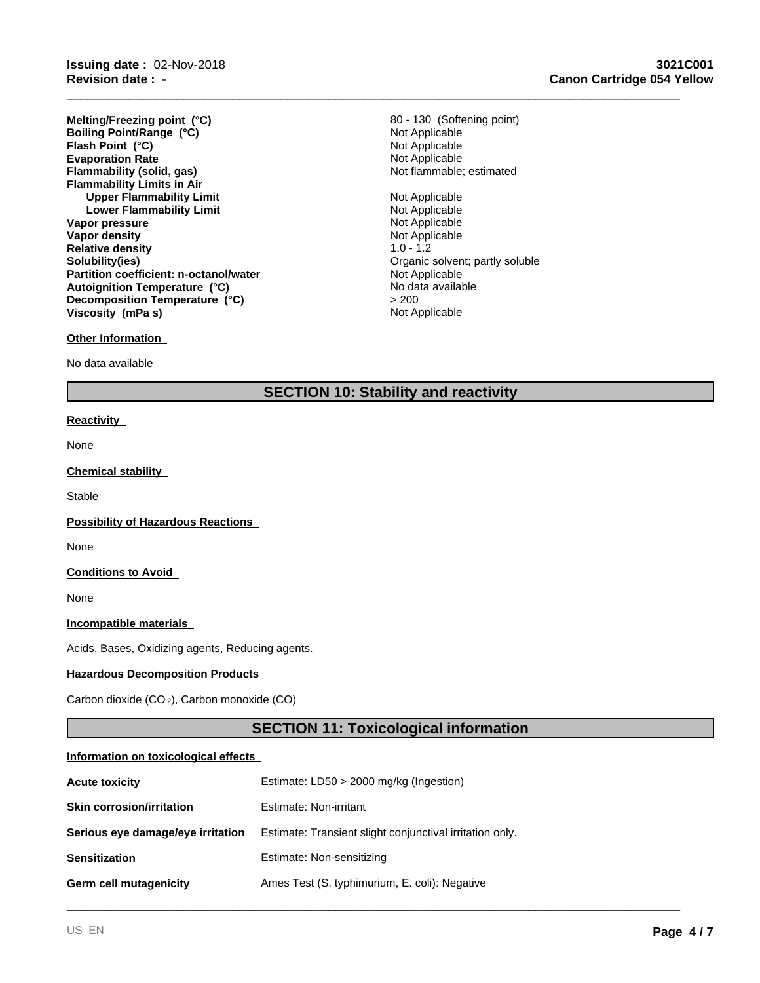**Revision date :** - **Issuing date :** 02-Nov-2018

**Evaporation Rate**<br> **Example:** Not Applicable<br> **Elammability (solid, gas)**<br> **Example:** Not flammable; estimated **Flammability (solid, gas) Flammability Limits in Air Upper Flammability Limit** Not Applicable **Lower Flammability Limit Not Applicable**<br> **Not Applicable**<br>
Not Applicable **Vapor pressure**<br> **Vapor density**<br> **Vapor density**<br> **Vapor density Vapor density** Not Applicable Not Applicable Not Applicable Not Applicable Not Applicable Not Applicable Not Applicable Not Applicable Not Applicable Not Applicable Not Applicable Not Applicable Not Applicable Not Applica **Relative density**<br>Solubility(ies) **Partition coefficient: n-octanol/water** Not Applicable Not Applicable<br> **Autoignition Temperature (°C)** No data available **Flash Point (°C)** Not Applicable **Melting/Freezing point (°C) Autoignition Temperature (°C) Decomposition Temperature (°C) Boiling Point/Range (°C) Viscosity (mPa s)**

# Not Applicable 80 - 130 (Softening point)

\_\_\_\_\_\_\_\_\_\_\_\_\_\_\_\_\_\_\_\_\_\_\_\_\_\_\_\_\_\_\_\_\_\_\_\_\_\_\_\_\_\_\_\_\_\_\_\_\_\_\_\_\_\_\_\_\_\_\_\_\_\_\_\_\_\_\_\_\_\_\_\_\_\_\_\_\_\_\_\_\_\_\_\_\_\_\_\_\_

Organic solvent; partly soluble<br>Not Applicable  $> 200$ Not Applicable

#### **Other Information**

No data available

# **SECTION 10: Stability and reactivity**

#### **Reactivity**

None

#### **Chemical stability**

**Stable** 

#### **Possibility of Hazardous Reactions**

None

#### **Conditions to Avoid**

None

#### **Incompatible materials**

Acids, Bases, Oxidizing agents, Reducing agents.

#### **Hazardous Decomposition Products**

Carbon dioxide (CO 2), Carbon monoxide (CO)

# **SECTION 11: Toxicological information**

\_\_\_\_\_\_\_\_\_\_\_\_\_\_\_\_\_\_\_\_\_\_\_\_\_\_\_\_\_\_\_\_\_\_\_\_\_\_\_\_\_\_\_\_\_\_\_\_\_\_\_\_\_\_\_\_\_\_\_\_\_\_\_\_\_\_\_\_\_\_\_\_\_\_\_\_\_\_\_\_\_\_\_\_\_\_\_\_\_

#### **Information on toxicological effects**

| <b>Acute toxicity</b>             | Estimate: LD50 > 2000 mg/kg (Ingestion)                  |
|-----------------------------------|----------------------------------------------------------|
| <b>Skin corrosion/irritation</b>  | Estimate: Non-irritant                                   |
| Serious eye damage/eye irritation | Estimate: Transient slight conjunctival irritation only. |
| <b>Sensitization</b>              | Estimate: Non-sensitizing                                |
| Germ cell mutagenicity            | Ames Test (S. typhimurium, E. coli): Negative            |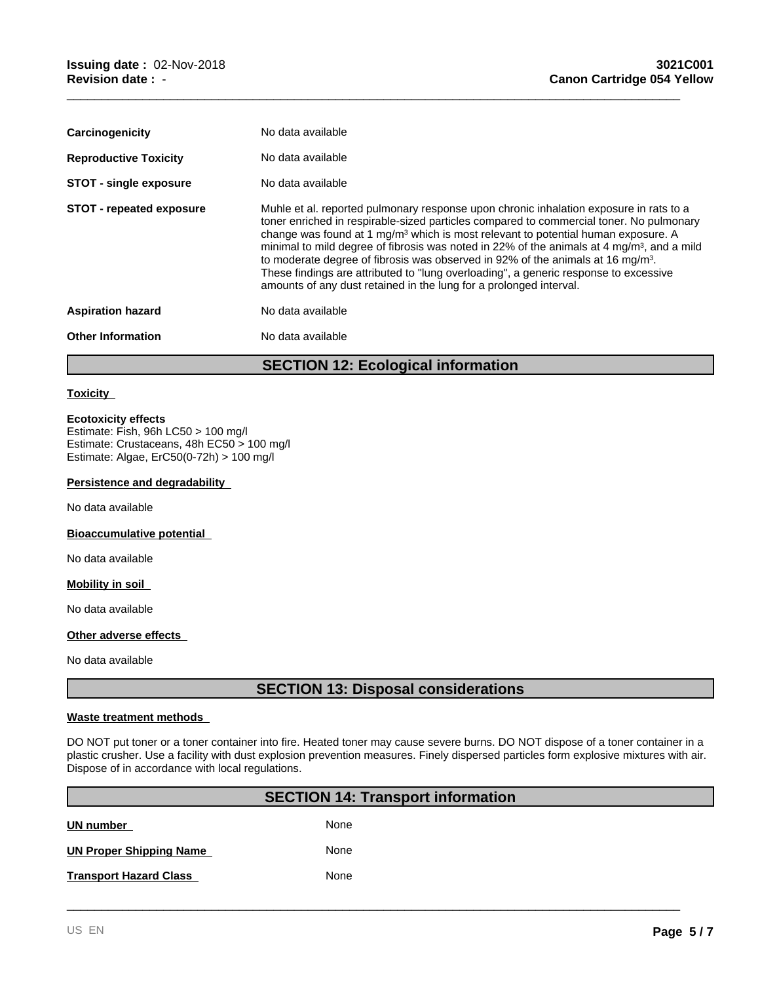| No data available<br><b>Reproductive Toxicity</b>                                                                                                                                                                                                                                                                                                                                                                                                                                                                                                                                                                                                                                            |  |
|----------------------------------------------------------------------------------------------------------------------------------------------------------------------------------------------------------------------------------------------------------------------------------------------------------------------------------------------------------------------------------------------------------------------------------------------------------------------------------------------------------------------------------------------------------------------------------------------------------------------------------------------------------------------------------------------|--|
| <b>STOT - single exposure</b><br>No data available                                                                                                                                                                                                                                                                                                                                                                                                                                                                                                                                                                                                                                           |  |
| Muhle et al. reported pulmonary response upon chronic inhalation exposure in rats to a<br><b>STOT - repeated exposure</b><br>toner enriched in respirable-sized particles compared to commercial toner. No pulmonary<br>change was found at 1 mg/m <sup>3</sup> which is most relevant to potential human exposure. A<br>minimal to mild degree of fibrosis was noted in 22% of the animals at 4 mg/m <sup>3</sup> , and a mild<br>to moderate degree of fibrosis was observed in 92% of the animals at 16 mg/m <sup>3</sup> .<br>These findings are attributed to "lung overloading", a generic response to excessive<br>amounts of any dust retained in the lung for a prolonged interval. |  |
| No data available<br><b>Aspiration hazard</b>                                                                                                                                                                                                                                                                                                                                                                                                                                                                                                                                                                                                                                                |  |
| No data available<br><b>Other Information</b>                                                                                                                                                                                                                                                                                                                                                                                                                                                                                                                                                                                                                                                |  |

\_\_\_\_\_\_\_\_\_\_\_\_\_\_\_\_\_\_\_\_\_\_\_\_\_\_\_\_\_\_\_\_\_\_\_\_\_\_\_\_\_\_\_\_\_\_\_\_\_\_\_\_\_\_\_\_\_\_\_\_\_\_\_\_\_\_\_\_\_\_\_\_\_\_\_\_\_\_\_\_\_\_\_\_\_\_\_\_\_

# **SECTION 12: Ecological information**

#### **Toxicity**

#### **Ecotoxicity effects**

Estimate: Fish, 96h LC50 > 100 mg/l Estimate: Crustaceans, 48h EC50 > 100 mg/l Estimate: Algae, ErC50(0-72h) > 100 mg/l

#### **Persistence and degradability**

No data available

**Bioaccumulative potential** 

No data available

#### **Mobility in soil**

No data available

#### **Other adverse effects**

No data available

# **SECTION 13: Disposal considerations**

#### **Waste treatment methods**

DO NOT put toner or a toner container into fire. Heated toner may cause severe burns. DO NOT dispose of a toner container in a plastic crusher. Use a facility with dust explosion prevention measures. Finely dispersed particles form explosive mixtures with air. Dispose of in accordance with local regulations.

| <b>SECTION 14: Transport information</b> |      |  |
|------------------------------------------|------|--|
| UN number                                | None |  |
| <b>UN Proper Shipping Name</b>           | None |  |
| <b>Transport Hazard Class</b>            | None |  |

\_\_\_\_\_\_\_\_\_\_\_\_\_\_\_\_\_\_\_\_\_\_\_\_\_\_\_\_\_\_\_\_\_\_\_\_\_\_\_\_\_\_\_\_\_\_\_\_\_\_\_\_\_\_\_\_\_\_\_\_\_\_\_\_\_\_\_\_\_\_\_\_\_\_\_\_\_\_\_\_\_\_\_\_\_\_\_\_\_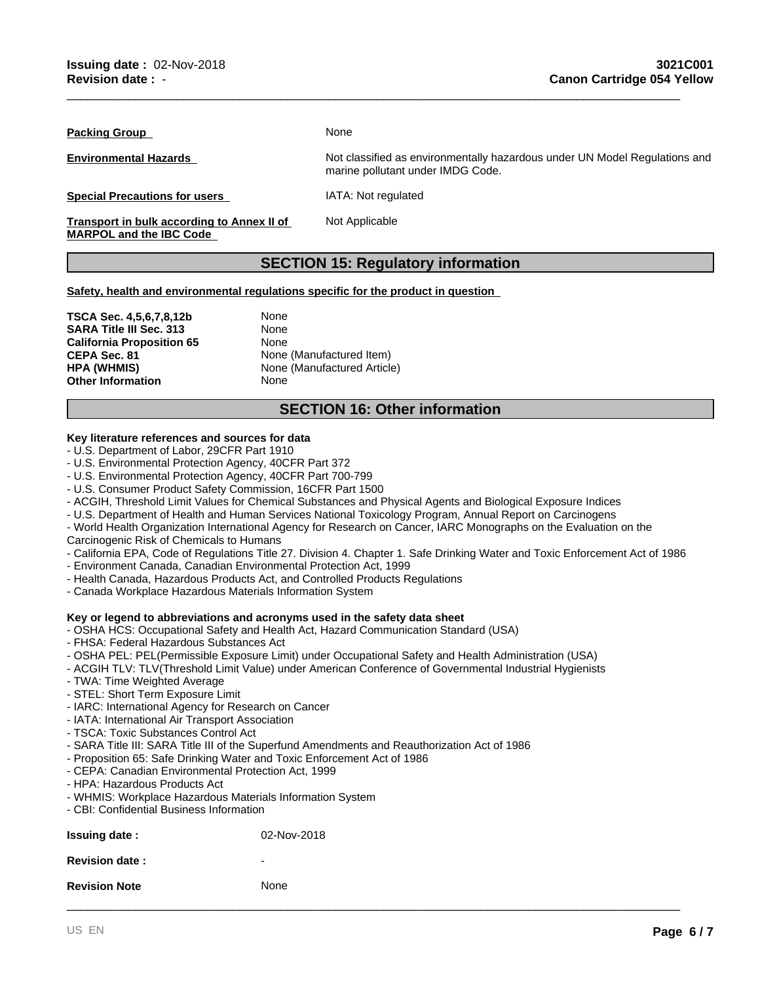**Packing Group** 

**Environmental Hazards** 

None

**Special Precautions for users** 

**Transport in bulk according to Annex II of**  Not Applicable

**MARPOL and the IBC Code** 

**SECTION 15: Regulatory information**

IATA: Not regulated

marine pollutant under IMDG Code.

\_\_\_\_\_\_\_\_\_\_\_\_\_\_\_\_\_\_\_\_\_\_\_\_\_\_\_\_\_\_\_\_\_\_\_\_\_\_\_\_\_\_\_\_\_\_\_\_\_\_\_\_\_\_\_\_\_\_\_\_\_\_\_\_\_\_\_\_\_\_\_\_\_\_\_\_\_\_\_\_\_\_\_\_\_\_\_\_\_

Not classified as environmentally hazardous under UN Model Regulations and

**Safety, health and environmental regulations specific for the product in question** 

**TSCA Sec. 4,5,6,7,8,12b** None **SARA Title III Sec. 313** None **California Proposition 65** None<br> **CEPA Sec. 81** None **CEPA Sec. 81** None (Manufactured Item)<br> **HPA (WHMIS)** None (Manufactured Article **Other Information** None

**None (Manufactured Article)** 

# **SECTION 16: Other information**

### **Key literature references and sources for data**

- U.S. Department of Labor, 29CFR Part 1910
- U.S. Environmental Protection Agency, 40CFR Part 372
- U.S. Environmental Protection Agency, 40CFR Part 700-799
- U.S. Consumer Product Safety Commission, 16CFR Part 1500
- ACGIH, Threshold Limit Values for Chemical Substances and Physical Agents and Biological Exposure Indices
- U.S. Department of Health and Human Services National Toxicology Program, Annual Report on Carcinogens
- World Health Organization International Agency for Research on Cancer, IARC Monographs on the Evaluation on the Carcinogenic Risk of Chemicals to Humans
- California EPA, Code of Regulations Title 27. Division 4. Chapter 1. Safe Drinking Water and Toxic Enforcement Act of 1986

\_\_\_\_\_\_\_\_\_\_\_\_\_\_\_\_\_\_\_\_\_\_\_\_\_\_\_\_\_\_\_\_\_\_\_\_\_\_\_\_\_\_\_\_\_\_\_\_\_\_\_\_\_\_\_\_\_\_\_\_\_\_\_\_\_\_\_\_\_\_\_\_\_\_\_\_\_\_\_\_\_\_\_\_\_\_\_\_\_

- Environment Canada, Canadian Environmental Protection Act, 1999
- Health Canada, Hazardous Products Act, and Controlled Products Regulations
- Canada Workplace Hazardous Materials Information System

#### **Key or legend to abbreviations and acronyms used in the safety data sheet**

- OSHA HCS: Occupational Safety and Health Act, Hazard Communication Standard (USA)
- FHSA: Federal Hazardous Substances Act
- OSHA PEL: PEL(Permissible Exposure Limit) under Occupational Safety and Health Administration (USA)
- ACGIH TLV: TLV(Threshold Limit Value) under American Conference of Governmental Industrial Hygienists
- TWA: Time Weighted Average
- STEL: Short Term Exposure Limit
- IARC: International Agency for Research on Cancer
- IATA: International Air Transport Association
- TSCA: Toxic Substances Control Act
- SARA Title III: SARA Title III of the Superfund Amendments and Reauthorization Act of 1986
- Proposition 65: Safe Drinking Water and Toxic Enforcement Act of 1986
- CEPA: Canadian Environmental Protection Act, 1999
- HPA: Hazardous Products Act
- WHMIS: Workplace Hazardous Materials Information System
- CBI: Confidential Business Information

| <b>Issuing date:</b>  | 02-Nov-2018 |
|-----------------------|-------------|
| <b>Revision date:</b> | ۰           |
| <b>Revision Note</b>  | None        |